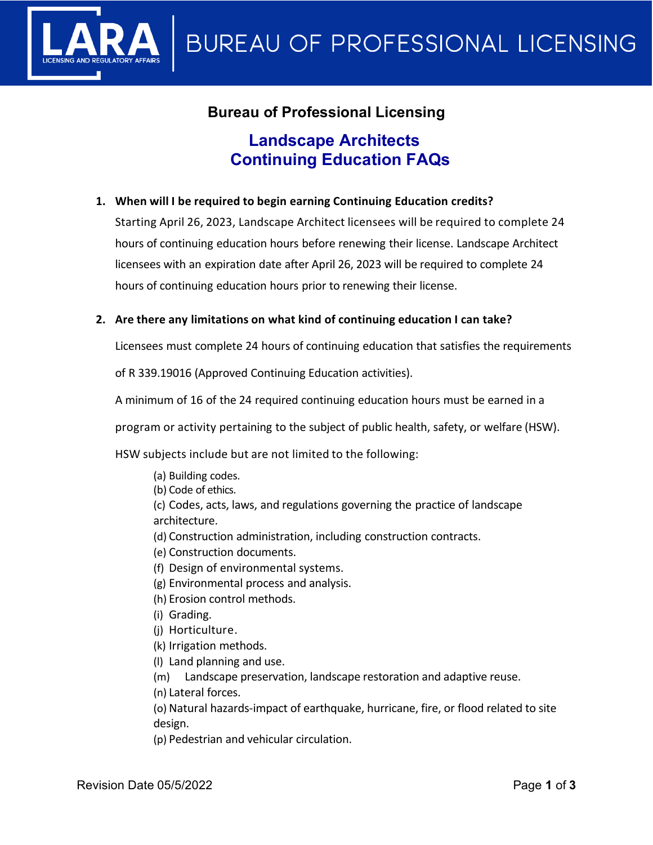

## **Bureau of Professional Licensing**

# **Landscape Architects Continuing Education FAQs**

#### **1. When will I be required to begin earning Continuing Education credits?**

Starting April 26, 2023, Landscape Architect licensees will be required to complete 24 hours of continuing education hours before renewing their license. Landscape Architect licensees with an expiration date after April 26, 2023 will be required to complete 24 hours of continuing education hours prior to renewing their license.

#### **2. Are there any limitations on what kind of continuing education I can take?**

Licensees must complete 24 hours of continuing education that satisfies the requirements

of R 339.19016 (Approved Continuing Education activities).

A minimum of 16 of the 24 required continuing education hours must be earned in a

program or activity pertaining to the subject of public health, safety, or welfare (HSW).

HSW subjects include but are not limited to the following:

(a) Building codes. (b) Code of ethics. (c) Codes, acts, laws, and regulations governing the practice of landscape architecture. (d) Construction administration, including construction contracts.

- (e) Construction documents.
- (f) Design of environmental systems.
- (g) Environmental process and analysis.
- (h) Erosion control methods.
- (i) Grading.
- (j) Horticulture.
- (k) Irrigation methods.
- (l) Land planning and use.

(m) Landscape preservation, landscape restoration and adaptive reuse.

(n) Lateral forces.

(o) Natural hazards-impact of earthquake, hurricane, fire, or flood related to site design.

(p) Pedestrian and vehicular circulation.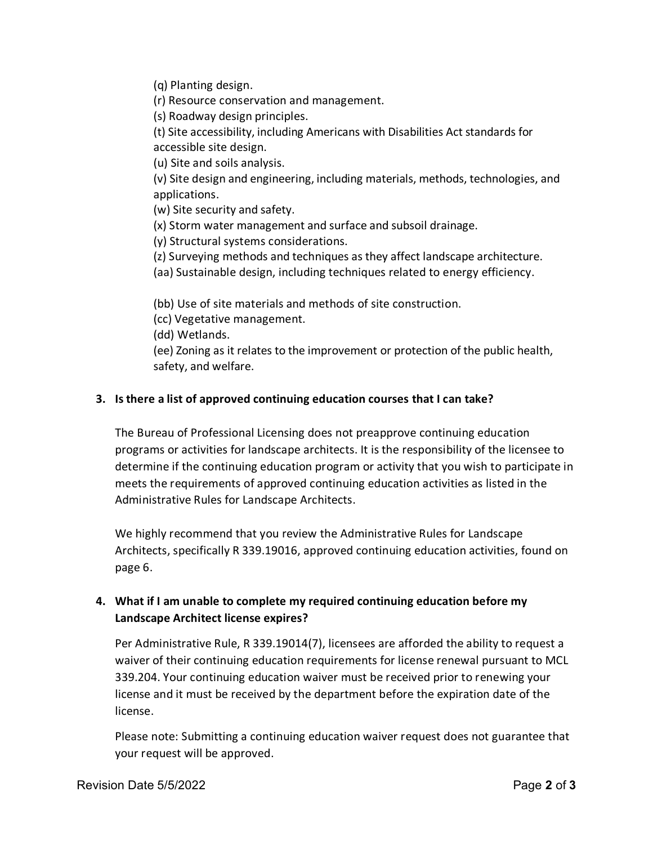(q) Planting design.

(r) Resource conservation and management.

(s) Roadway design principles.

(t) Site accessibility, including Americans with Disabilities Act standards for accessible site design.

(u) Site and soils analysis.

(v) Site design and engineering, including materials, methods, technologies, and applications.

(w) Site security and safety.

(x) Storm water management and surface and subsoil drainage.

(y) Structural systems considerations.

(z) Surveying methods and techniques as they affect landscape architecture.

(aa) Sustainable design, including techniques related to energy efficiency.

(bb) Use of site materials and methods of site construction.

(cc) Vegetative management.

(dd) Wetlands.

(ee) Zoning as it relates to the improvement or protection of the public health, safety, and welfare.

#### **3. Is there a list of approved continuing education courses that I can take?**

The Bureau of Professional Licensing does not preapprove continuing education programs or activities for landscape architects. It is the responsibility of the licensee to determine if the continuing education program or activity that you wish to participate in meets the requirements of approved continuing education activities as listed in the Administrative Rules for Landscape Architects.

We highly recommend that you review the Administrative Rules for Landscape Architects, specifically R 339.19016, approved continuing education activities, found on page 6.

## **4. What if I am unable to complete my required continuing education before my Landscape Architect license expires?**

Per Administrative Rule, R 339.19014(7), licensees are afforded the ability to request a waiver of their continuing education requirements for license renewal pursuant to MCL 339.204. Your continuing education waiver must be received prior to renewing your license and it must be received by the department before the expiration date of the license.

Please note: Submitting a continuing education waiver request does not guarantee that your request will be approved.